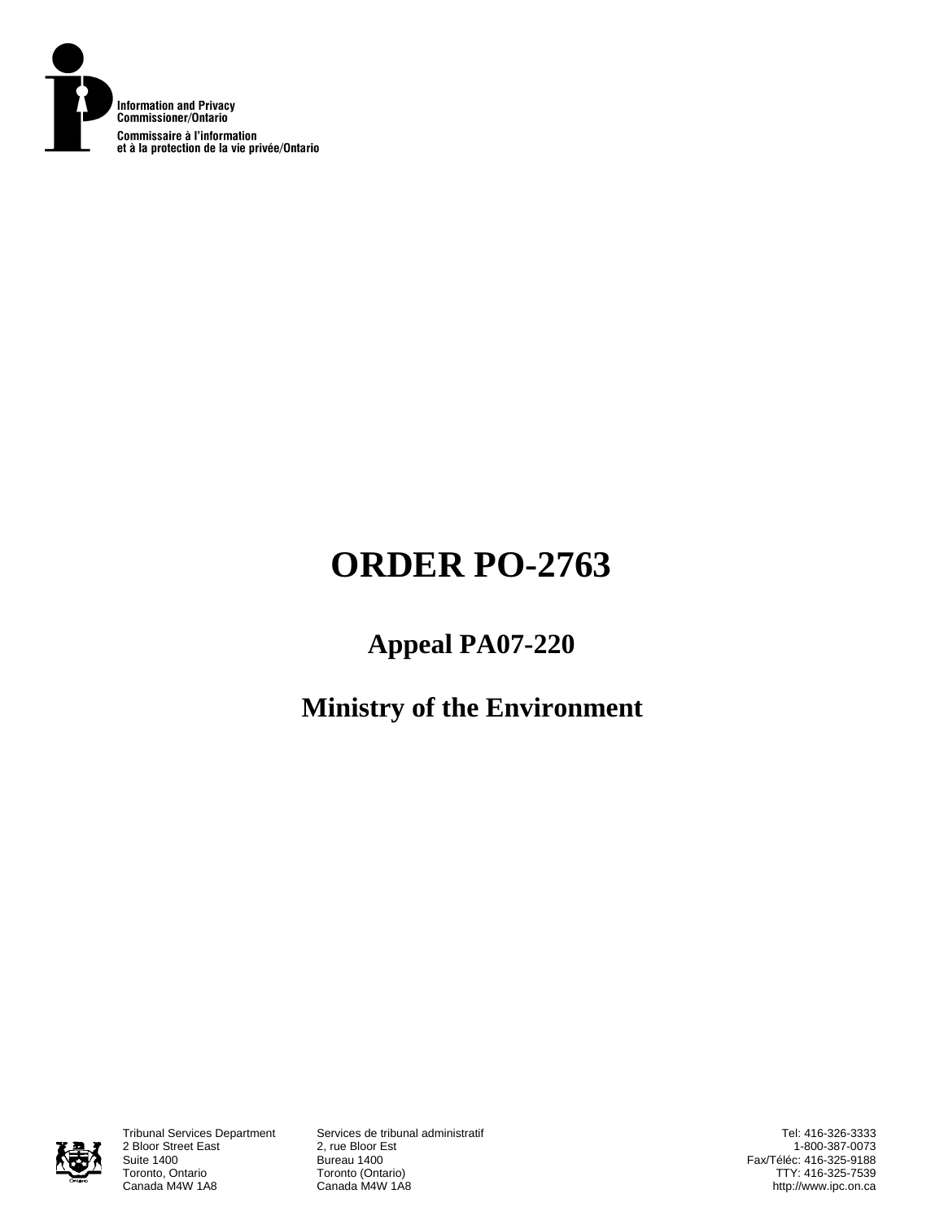

# **ORDER PO-2763**

## **Appeal PA07-220**

## **Ministry of the Environment**



2 Bloor Street East<br>Suite 1400 Suite 1400<br>
Toronto, Ontario<br>
Toronto (Onta Toronto, Ontario **Toronto (Ontario)**<br>Canada M4W 1A8 **Canada M4W 1A8** 

Tribunal Services Department Services de tribunal administratif Canada M4W 1A8

Tel: 416-326-3333 1-800-387-0073 Fax/Téléc: 416-325-9188 TTY: 416-325-7539 http://www.ipc.on.ca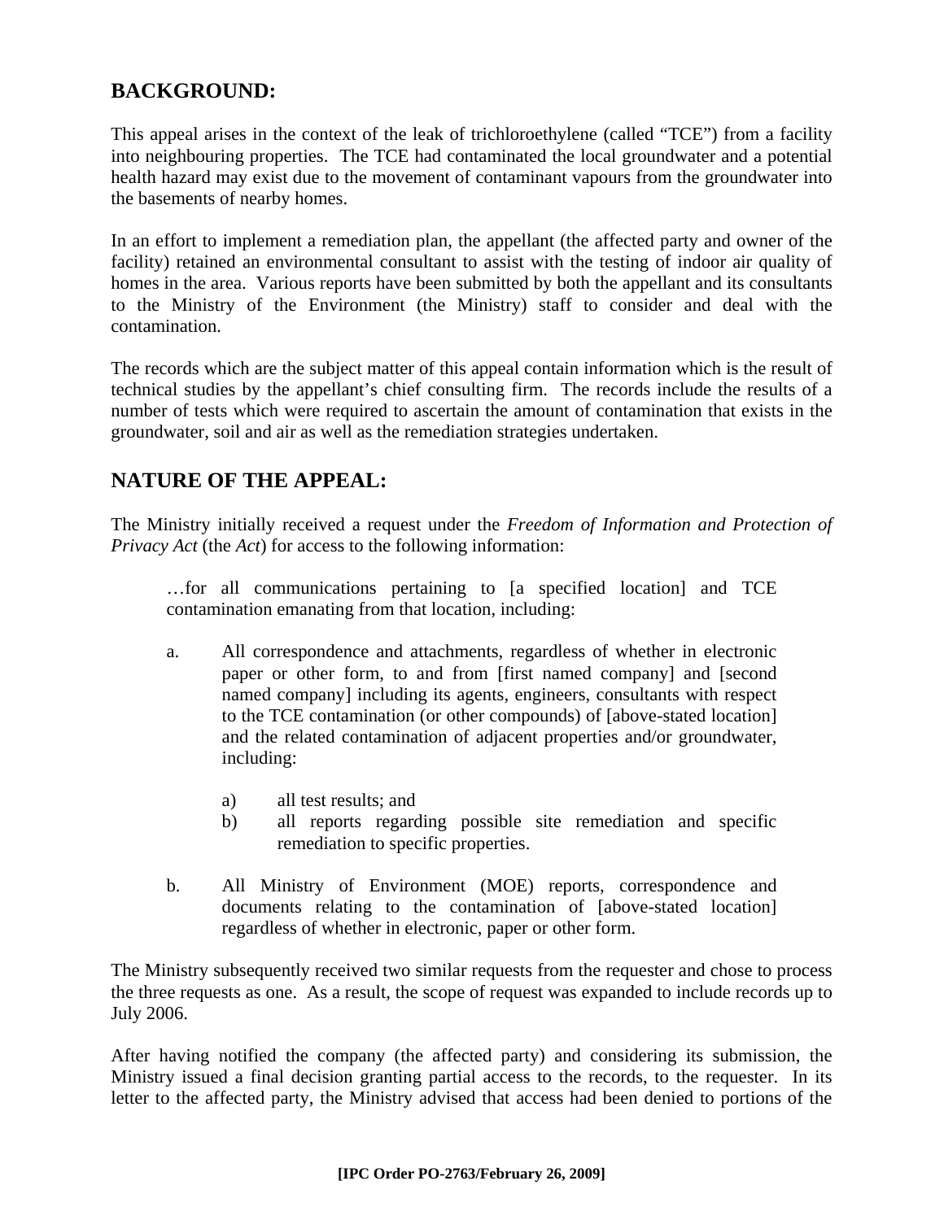## **BACKGROUND:**

This appeal arises in the context of the leak of trichloroethylene (called "TCE") from a facility into neighbouring properties. The TCE had contaminated the local groundwater and a potential health hazard may exist due to the movement of contaminant vapours from the groundwater into the basements of nearby homes.

In an effort to implement a remediation plan, the appellant (the affected party and owner of the facility) retained an environmental consultant to assist with the testing of indoor air quality of homes in the area. Various reports have been submitted by both the appellant and its consultants to the Ministry of the Environment (the Ministry) staff to consider and deal with the contamination.

The records which are the subject matter of this appeal contain information which is the result of technical studies by the appellant's chief consulting firm. The records include the results of a number of tests which were required to ascertain the amount of contamination that exists in the groundwater, soil and air as well as the remediation strategies undertaken.

## **NATURE OF THE APPEAL:**

The Ministry initially received a request under the *Freedom of Information and Protection of Privacy Act* (the *Act*) for access to the following information:

…for all communications pertaining to [a specified location] and TCE contamination emanating from that location, including:

- a. All correspondence and attachments, regardless of whether in electronic paper or other form, to and from [first named company] and [second named company] including its agents, engineers, consultants with respect to the TCE contamination (or other compounds) of [above-stated location] and the related contamination of adjacent properties and/or groundwater, including:
	- a) all test results; and
	- b) all reports regarding possible site remediation and specific remediation to specific properties.
- b. All Ministry of Environment (MOE) reports, correspondence and documents relating to the contamination of [above-stated location] regardless of whether in electronic, paper or other form.

The Ministry subsequently received two similar requests from the requester and chose to process the three requests as one. As a result, the scope of request was expanded to include records up to July 2006.

After having notified the company (the affected party) and considering its submission, the Ministry issued a final decision granting partial access to the records, to the requester. In its letter to the affected party, the Ministry advised that access had been denied to portions of the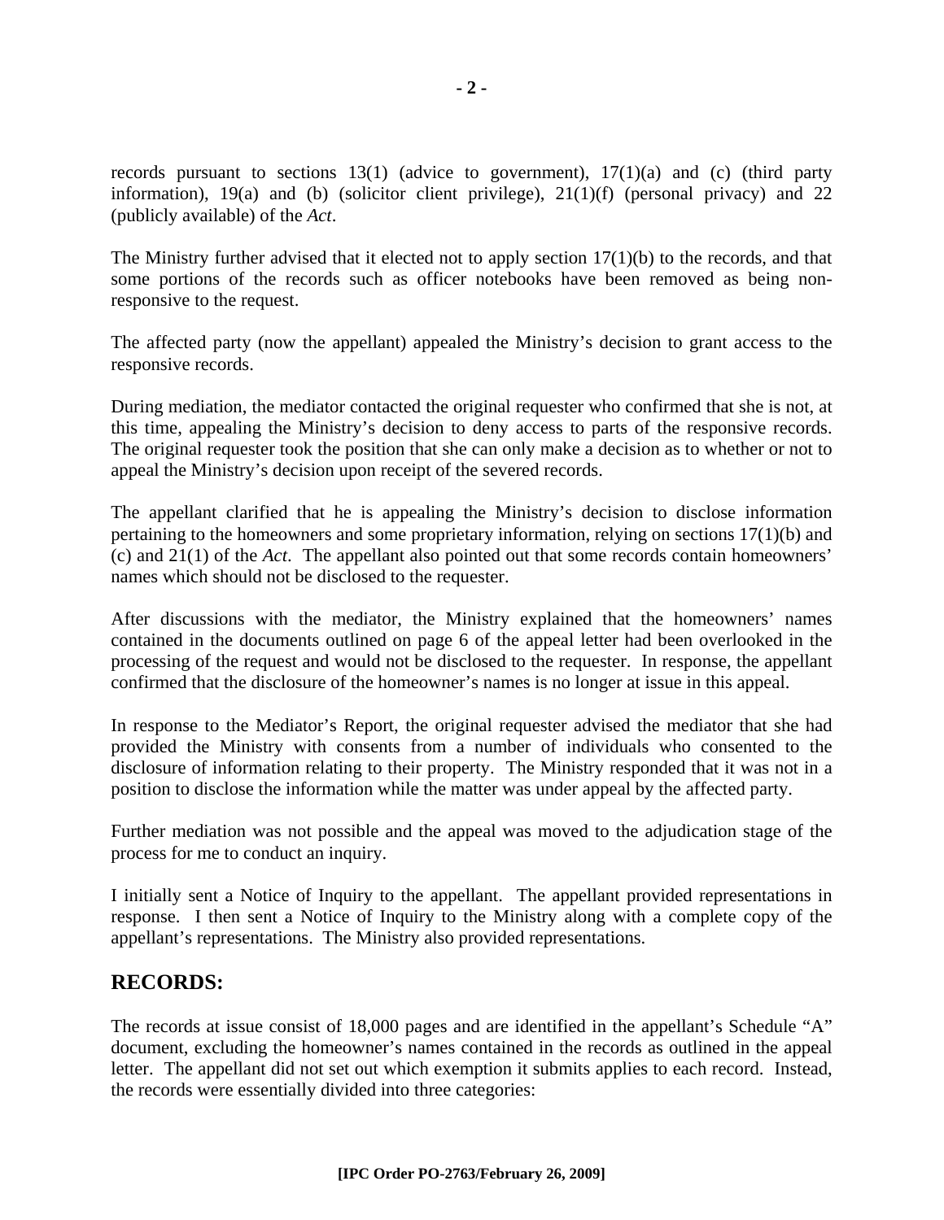records pursuant to sections  $13(1)$  (advice to government),  $17(1)(a)$  and (c) (third party information), 19(a) and (b) (solicitor client privilege), 21(1)(f) (personal privacy) and 22 (publicly available) of the *Act*.

The Ministry further advised that it elected not to apply section  $17(1)(b)$  to the records, and that some portions of the records such as officer notebooks have been removed as being nonresponsive to the request.

The affected party (now the appellant) appealed the Ministry's decision to grant access to the responsive records.

During mediation, the mediator contacted the original requester who confirmed that she is not, at this time, appealing the Ministry's decision to deny access to parts of the responsive records. The original requester took the position that she can only make a decision as to whether or not to appeal the Ministry's decision upon receipt of the severed records.

The appellant clarified that he is appealing the Ministry's decision to disclose information pertaining to the homeowners and some proprietary information, relying on sections 17(1)(b) and (c) and 21(1) of the *Act*. The appellant also pointed out that some records contain homeowners' names which should not be disclosed to the requester.

After discussions with the mediator, the Ministry explained that the homeowners' names contained in the documents outlined on page 6 of the appeal letter had been overlooked in the processing of the request and would not be disclosed to the requester. In response, the appellant confirmed that the disclosure of the homeowner's names is no longer at issue in this appeal.

In response to the Mediator's Report, the original requester advised the mediator that she had provided the Ministry with consents from a number of individuals who consented to the disclosure of information relating to their property. The Ministry responded that it was not in a position to disclose the information while the matter was under appeal by the affected party.

Further mediation was not possible and the appeal was moved to the adjudication stage of the process for me to conduct an inquiry.

I initially sent a Notice of Inquiry to the appellant. The appellant provided representations in response. I then sent a Notice of Inquiry to the Ministry along with a complete copy of the appellant's representations. The Ministry also provided representations.

## **RECORDS:**

The records at issue consist of 18,000 pages and are identified in the appellant's Schedule "A" document, excluding the homeowner's names contained in the records as outlined in the appeal letter. The appellant did not set out which exemption it submits applies to each record. Instead, the records were essentially divided into three categories: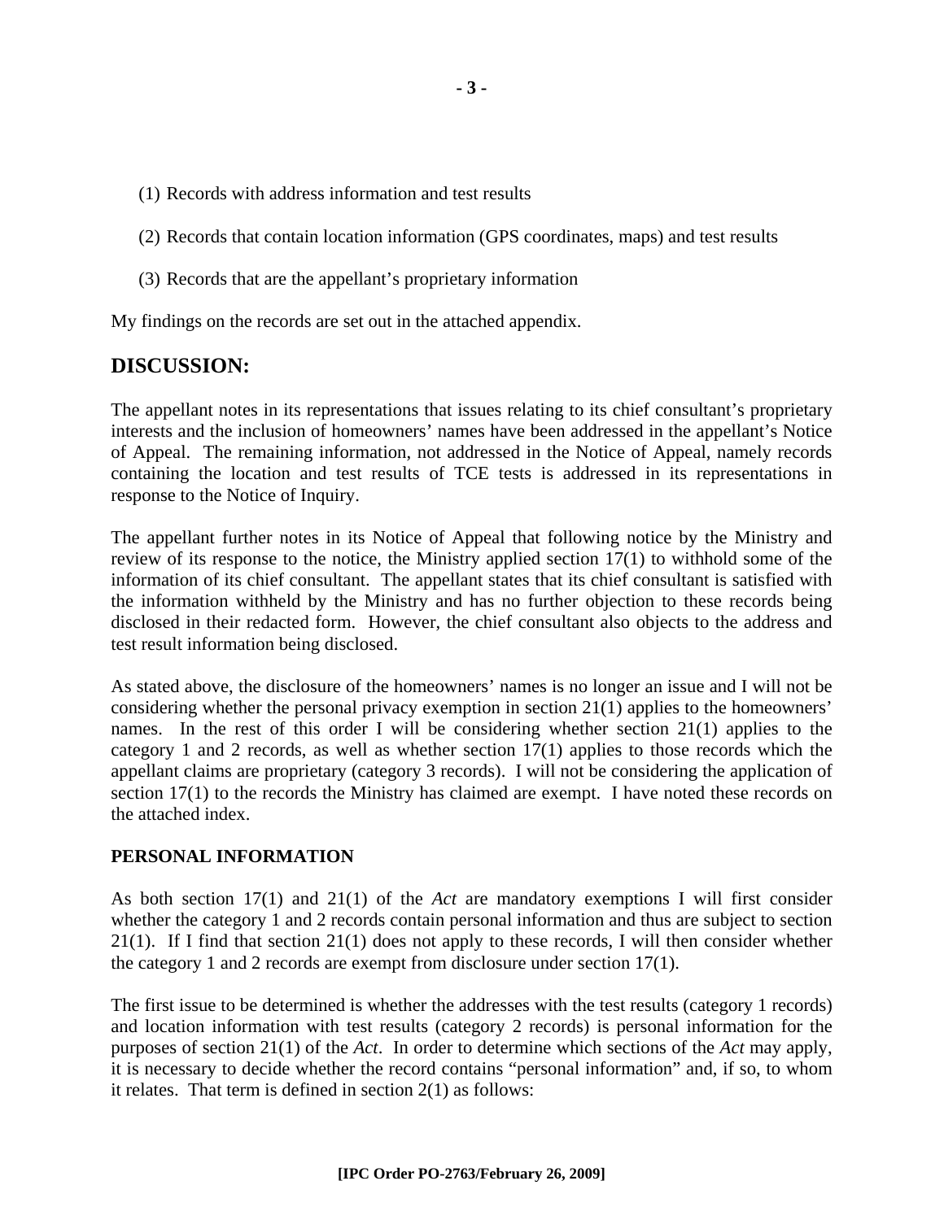- (1) Records with address information and test results
- (2) Records that contain location information (GPS coordinates, maps) and test results
- (3) Records that are the appellant's proprietary information

My findings on the records are set out in the attached appendix.

## **DISCUSSION:**

The appellant notes in its representations that issues relating to its chief consultant's proprietary interests and the inclusion of homeowners' names have been addressed in the appellant's Notice of Appeal. The remaining information, not addressed in the Notice of Appeal, namely records containing the location and test results of TCE tests is addressed in its representations in response to the Notice of Inquiry.

The appellant further notes in its Notice of Appeal that following notice by the Ministry and review of its response to the notice, the Ministry applied section 17(1) to withhold some of the information of its chief consultant. The appellant states that its chief consultant is satisfied with the information withheld by the Ministry and has no further objection to these records being disclosed in their redacted form. However, the chief consultant also objects to the address and test result information being disclosed.

As stated above, the disclosure of the homeowners' names is no longer an issue and I will not be considering whether the personal privacy exemption in section 21(1) applies to the homeowners' names. In the rest of this order I will be considering whether section 21(1) applies to the category 1 and 2 records, as well as whether section 17(1) applies to those records which the appellant claims are proprietary (category 3 records). I will not be considering the application of section 17(1) to the records the Ministry has claimed are exempt. I have noted these records on the attached index.

#### **PERSONAL INFORMATION**

As both section 17(1) and 21(1) of the *Act* are mandatory exemptions I will first consider whether the category 1 and 2 records contain personal information and thus are subject to section 21(1). If I find that section 21(1) does not apply to these records, I will then consider whether the category 1 and 2 records are exempt from disclosure under section 17(1).

The first issue to be determined is whether the addresses with the test results (category 1 records) and location information with test results (category 2 records) is personal information for the purposes of section 21(1) of the *Act*. In order to determine which sections of the *Act* may apply, it is necessary to decide whether the record contains "personal information" and, if so, to whom it relates. That term is defined in section 2(1) as follows: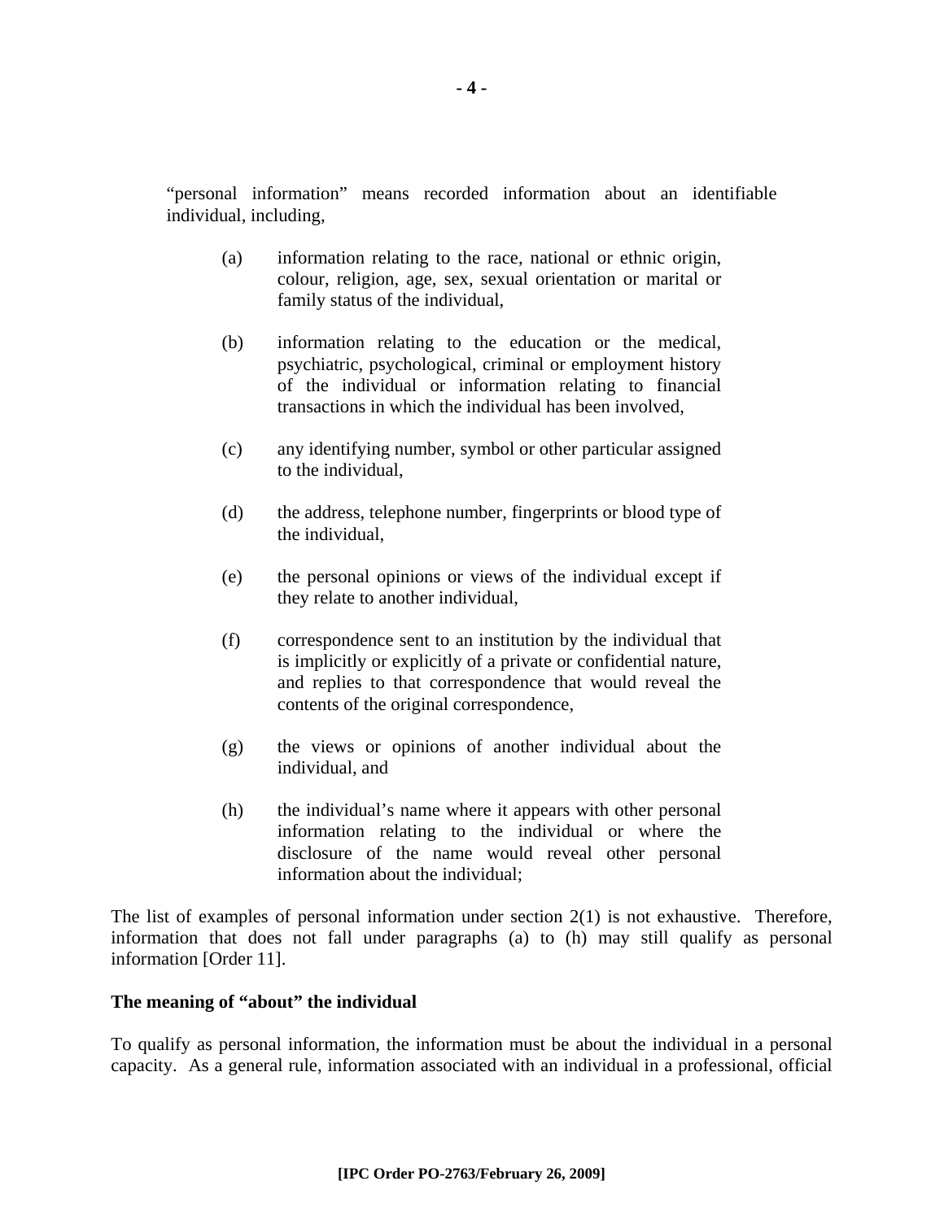"personal information" means recorded information about an identifiable individual, including,

- (a) information relating to the race, national or ethnic origin, colour, religion, age, sex, sexual orientation or marital or family status of the individual,
- (b) information relating to the education or the medical, psychiatric, psychological, criminal or employment history of the individual or information relating to financial transactions in which the individual has been involved,
- (c) any identifying number, symbol or other particular assigned to the individual,
- (d) the address, telephone number, fingerprints or blood type of the individual,
- (e) the personal opinions or views of the individual except if they relate to another individual,
- (f) correspondence sent to an institution by the individual that is implicitly or explicitly of a private or confidential nature, and replies to that correspondence that would reveal the contents of the original correspondence,
- (g) the views or opinions of another individual about the individual, and
- (h) the individual's name where it appears with other personal information relating to the individual or where the disclosure of the name would reveal other personal information about the individual;

The list of examples of personal information under section  $2(1)$  is not exhaustive. Therefore, information that does not fall under paragraphs (a) to (h) may still qualify as personal information [Order 11].

#### **The meaning of "about" the individual**

To qualify as personal information, the information must be about the individual in a personal capacity. As a general rule, information associated with an individual in a professional, official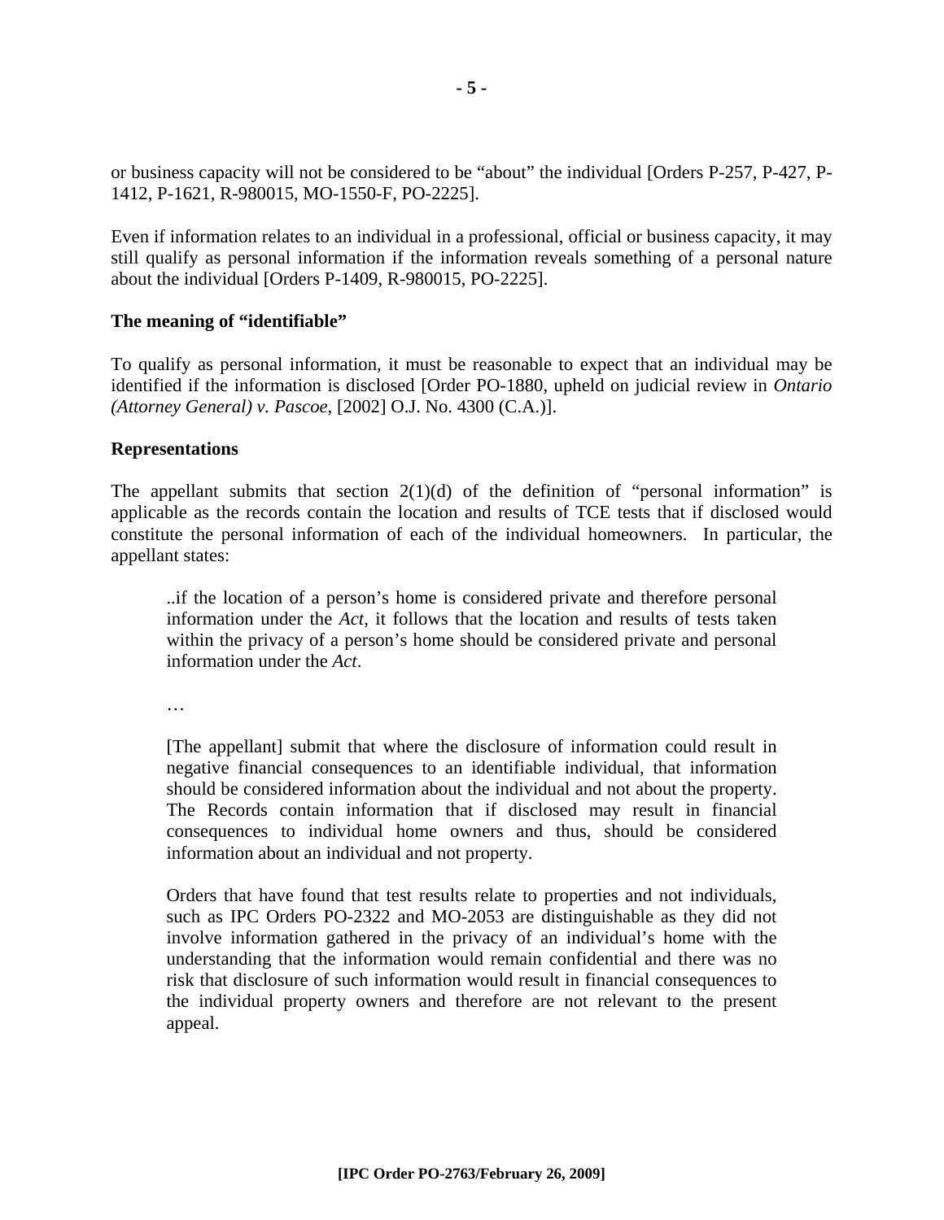or business capacity will not be considered to be "about" the individual [Orders P-257, P-427, P-1412, P-1621, R-980015, MO-1550-F, PO-2225].

Even if information relates to an individual in a professional, official or business capacity, it may still qualify as personal information if the information reveals something of a personal nature about the individual [Orders P-1409, R-980015, PO-2225].

#### **The meaning of "identifiable"**

To qualify as personal information, it must be reasonable to expect that an individual may be identified if the information is disclosed [Order PO-1880, upheld on judicial review in *Ontario (Attorney General) v. Pascoe*, [2002] O.J. No. 4300 (C.A.)].

#### **Representations**

The appellant submits that section  $2(1)(d)$  of the definition of "personal information" is applicable as the records contain the location and results of TCE tests that if disclosed would constitute the personal information of each of the individual homeowners. In particular, the appellant states:

..if the location of a person's home is considered private and therefore personal information under the *Act*, it follows that the location and results of tests taken within the privacy of a person's home should be considered private and personal information under the *Act*.

…

[The appellant] submit that where the disclosure of information could result in negative financial consequences to an identifiable individual, that information should be considered information about the individual and not about the property. The Records contain information that if disclosed may result in financial consequences to individual home owners and thus, should be considered information about an individual and not property.

Orders that have found that test results relate to properties and not individuals, such as IPC Orders PO-2322 and MO-2053 are distinguishable as they did not involve information gathered in the privacy of an individual's home with the understanding that the information would remain confidential and there was no risk that disclosure of such information would result in financial consequences to the individual property owners and therefore are not relevant to the present appeal.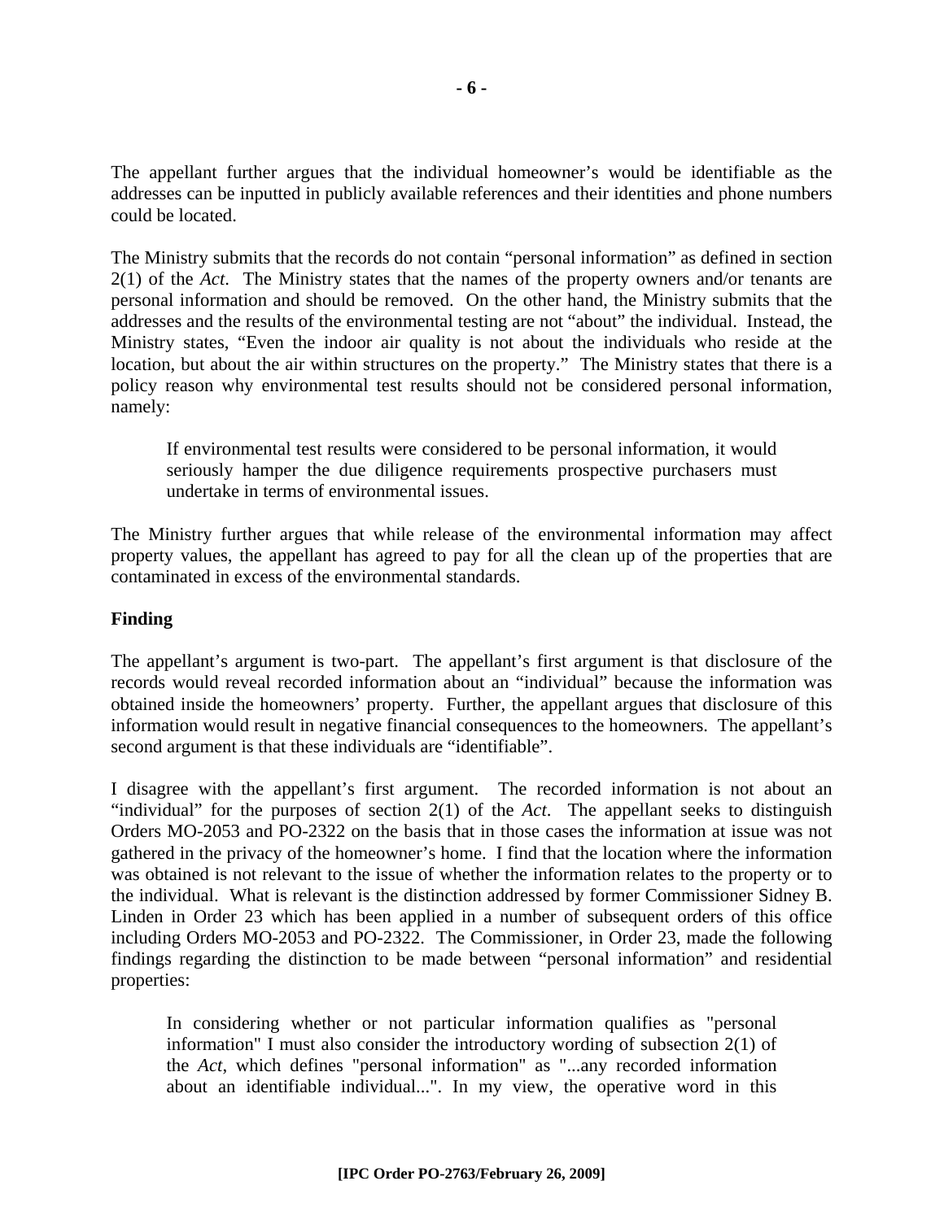The appellant further argues that the individual homeowner's would be identifiable as the addresses can be inputted in publicly available references and their identities and phone numbers could be located.

The Ministry submits that the records do not contain "personal information" as defined in section 2(1) of the *Act*. The Ministry states that the names of the property owners and/or tenants are personal information and should be removed. On the other hand, the Ministry submits that the addresses and the results of the environmental testing are not "about" the individual. Instead, the Ministry states, "Even the indoor air quality is not about the individuals who reside at the location, but about the air within structures on the property." The Ministry states that there is a policy reason why environmental test results should not be considered personal information, namely:

If environmental test results were considered to be personal information, it would seriously hamper the due diligence requirements prospective purchasers must undertake in terms of environmental issues.

The Ministry further argues that while release of the environmental information may affect property values, the appellant has agreed to pay for all the clean up of the properties that are contaminated in excess of the environmental standards.

#### **Finding**

The appellant's argument is two-part. The appellant's first argument is that disclosure of the records would reveal recorded information about an "individual" because the information was obtained inside the homeowners' property. Further, the appellant argues that disclosure of this information would result in negative financial consequences to the homeowners. The appellant's second argument is that these individuals are "identifiable".

I disagree with the appellant's first argument. The recorded information is not about an "individual" for the purposes of section 2(1) of the *Act*. The appellant seeks to distinguish Orders MO-2053 and PO-2322 on the basis that in those cases the information at issue was not gathered in the privacy of the homeowner's home. I find that the location where the information was obtained is not relevant to the issue of whether the information relates to the property or to the individual. What is relevant is the distinction addressed by former Commissioner Sidney B. Linden in Order 23 which has been applied in a number of subsequent orders of this office including Orders MO-2053 and PO-2322. The Commissioner, in Order 23, made the following findings regarding the distinction to be made between "personal information" and residential properties:

In considering whether or not particular information qualifies as "personal information" I must also consider the introductory wording of subsection 2(1) of the *Act*, which defines "personal information" as "...any recorded information about an identifiable individual...". In my view, the operative word in this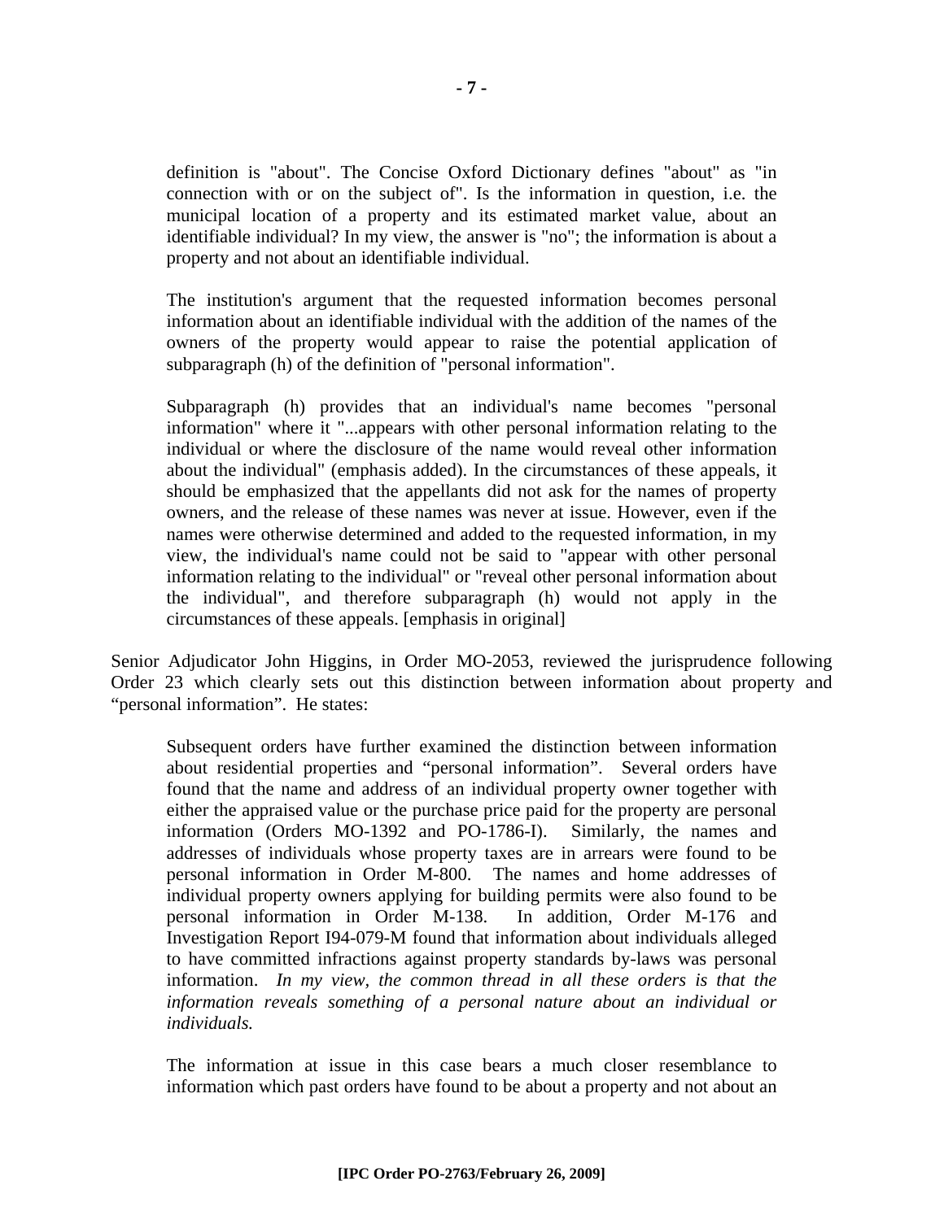definition is "about". The Concise Oxford Dictionary defines "about" as "in connection with or on the subject of". Is the information in question, i.e. the municipal location of a property and its estimated market value, about an identifiable individual? In my view, the answer is "no"; the information is about a property and not about an identifiable individual.

The institution's argument that the requested information becomes personal information about an identifiable individual with the addition of the names of the owners of the property would appear to raise the potential application of subparagraph (h) of the definition of "personal information".

Subparagraph (h) provides that an individual's name becomes "personal information" where it "...appears with other personal information relating to the individual or where the disclosure of the name would reveal other information about the individual" (emphasis added). In the circumstances of these appeals, it should be emphasized that the appellants did not ask for the names of property owners, and the release of these names was never at issue. However, even if the names were otherwise determined and added to the requested information, in my view, the individual's name could not be said to "appear with other personal information relating to the individual" or "reveal other personal information about the individual", and therefore subparagraph (h) would not apply in the circumstances of these appeals. [emphasis in original]

Senior Adjudicator John Higgins, in Order MO-2053, reviewed the jurisprudence following Order 23 which clearly sets out this distinction between information about property and "personal information". He states:

Subsequent orders have further examined the distinction between information about residential properties and "personal information". Several orders have found that the name and address of an individual property owner together with either the appraised value or the purchase price paid for the property are personal information (Orders MO-1392 and PO-1786-I). Similarly, the names and addresses of individuals whose property taxes are in arrears were found to be personal information in Order M-800. The names and home addresses of individual property owners applying for building permits were also found to be personal information in Order M-138. In addition, Order M-176 and Investigation Report I94-079-M found that information about individuals alleged to have committed infractions against property standards by-laws was personal information. *In my view, the common thread in all these orders is that the information reveals something of a personal nature about an individual or individuals.* 

The information at issue in this case bears a much closer resemblance to information which past orders have found to be about a property and not about an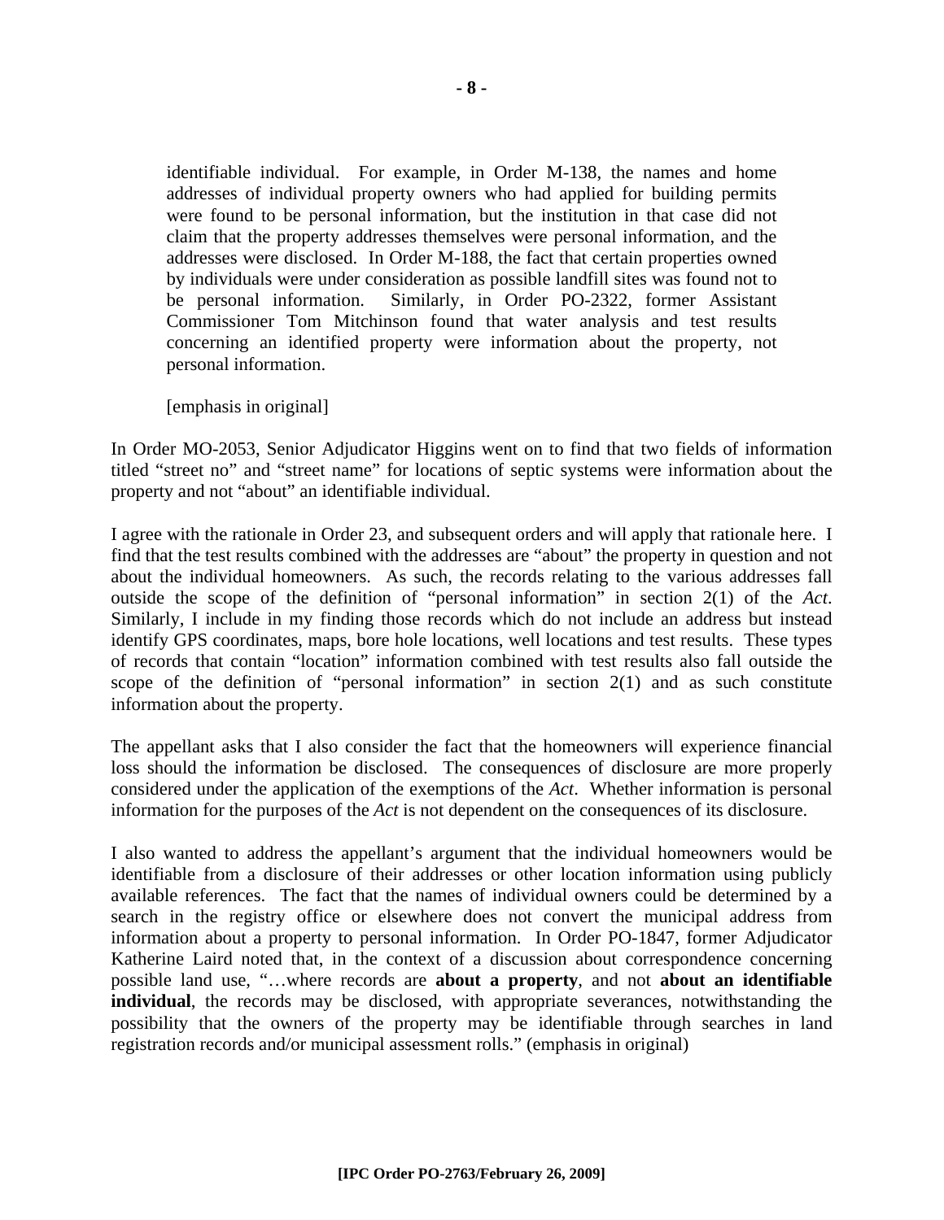identifiable individual. For example, in Order M-138, the names and home addresses of individual property owners who had applied for building permits were found to be personal information, but the institution in that case did not claim that the property addresses themselves were personal information, and the addresses were disclosed. In Order M-188, the fact that certain properties owned by individuals were under consideration as possible landfill sites was found not to be personal information. Similarly, in Order PO-2322, former Assistant Commissioner Tom Mitchinson found that water analysis and test results concerning an identified property were information about the property, not personal information.

[emphasis in original]

In Order MO-2053, Senior Adjudicator Higgins went on to find that two fields of information titled "street no" and "street name" for locations of septic systems were information about the property and not "about" an identifiable individual.

I agree with the rationale in Order 23, and subsequent orders and will apply that rationale here. I find that the test results combined with the addresses are "about" the property in question and not about the individual homeowners. As such, the records relating to the various addresses fall outside the scope of the definition of "personal information" in section 2(1) of the *Act*. Similarly, I include in my finding those records which do not include an address but instead identify GPS coordinates, maps, bore hole locations, well locations and test results. These types of records that contain "location" information combined with test results also fall outside the scope of the definition of "personal information" in section 2(1) and as such constitute information about the property.

The appellant asks that I also consider the fact that the homeowners will experience financial loss should the information be disclosed. The consequences of disclosure are more properly considered under the application of the exemptions of the *Act*. Whether information is personal information for the purposes of the *Act* is not dependent on the consequences of its disclosure.

I also wanted to address the appellant's argument that the individual homeowners would be identifiable from a disclosure of their addresses or other location information using publicly available references. The fact that the names of individual owners could be determined by a search in the registry office or elsewhere does not convert the municipal address from information about a property to personal information. In Order PO-1847, former Adjudicator Katherine Laird noted that, in the context of a discussion about correspondence concerning possible land use, "…where records are **about a property**, and not **about an identifiable individual**, the records may be disclosed, with appropriate severances, notwithstanding the possibility that the owners of the property may be identifiable through searches in land registration records and/or municipal assessment rolls." (emphasis in original)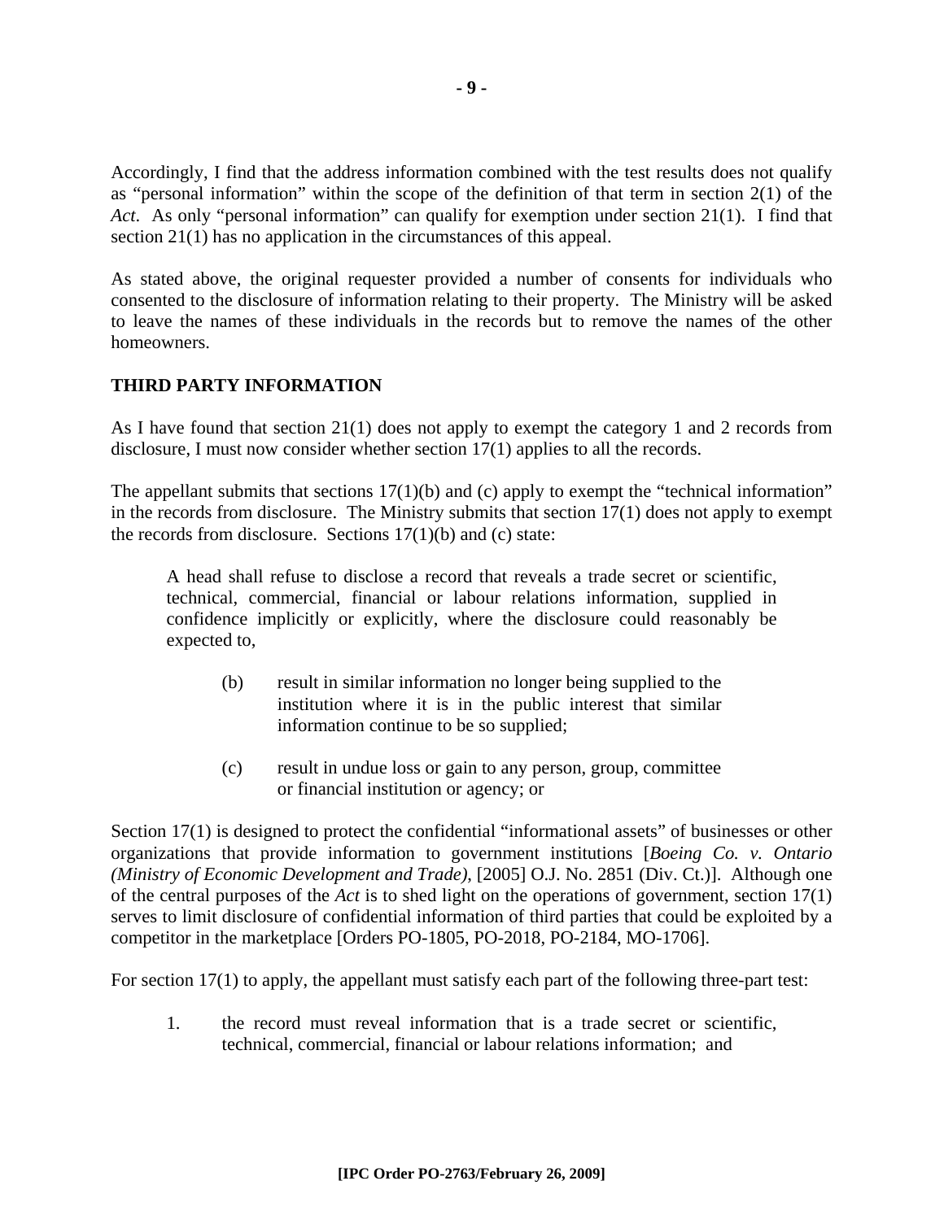Accordingly, I find that the address information combined with the test results does not qualify as "personal information" within the scope of the definition of that term in section 2(1) of the *Act*. As only "personal information" can qualify for exemption under section 21(1). I find that section 21(1) has no application in the circumstances of this appeal.

As stated above, the original requester provided a number of consents for individuals who consented to the disclosure of information relating to their property. The Ministry will be asked to leave the names of these individuals in the records but to remove the names of the other homeowners.

### **THIRD PARTY INFORMATION**

As I have found that section 21(1) does not apply to exempt the category 1 and 2 records from disclosure, I must now consider whether section 17(1) applies to all the records.

The appellant submits that sections  $17(1)(b)$  and (c) apply to exempt the "technical information" in the records from disclosure. The Ministry submits that section 17(1) does not apply to exempt the records from disclosure. Sections  $17(1)(b)$  and (c) state:

A head shall refuse to disclose a record that reveals a trade secret or scientific, technical, commercial, financial or labour relations information, supplied in confidence implicitly or explicitly, where the disclosure could reasonably be expected to,

- (b) result in similar information no longer being supplied to the institution where it is in the public interest that similar information continue to be so supplied;
- (c) result in undue loss or gain to any person, group, committee or financial institution or agency; or

Section 17(1) is designed to protect the confidential "informational assets" of businesses or other organizations that provide information to government institutions [*Boeing Co. v. Ontario (Ministry of Economic Development and Trade)*, [2005] O.J. No. 2851 (Div. Ct.)]. Although one of the central purposes of the *Act* is to shed light on the operations of government, section 17(1) serves to limit disclosure of confidential information of third parties that could be exploited by a competitor in the marketplace [Orders PO-1805, PO-2018, PO-2184, MO-1706].

For section 17(1) to apply, the appellant must satisfy each part of the following three-part test:

1. the record must reveal information that is a trade secret or scientific, technical, commercial, financial or labour relations information; and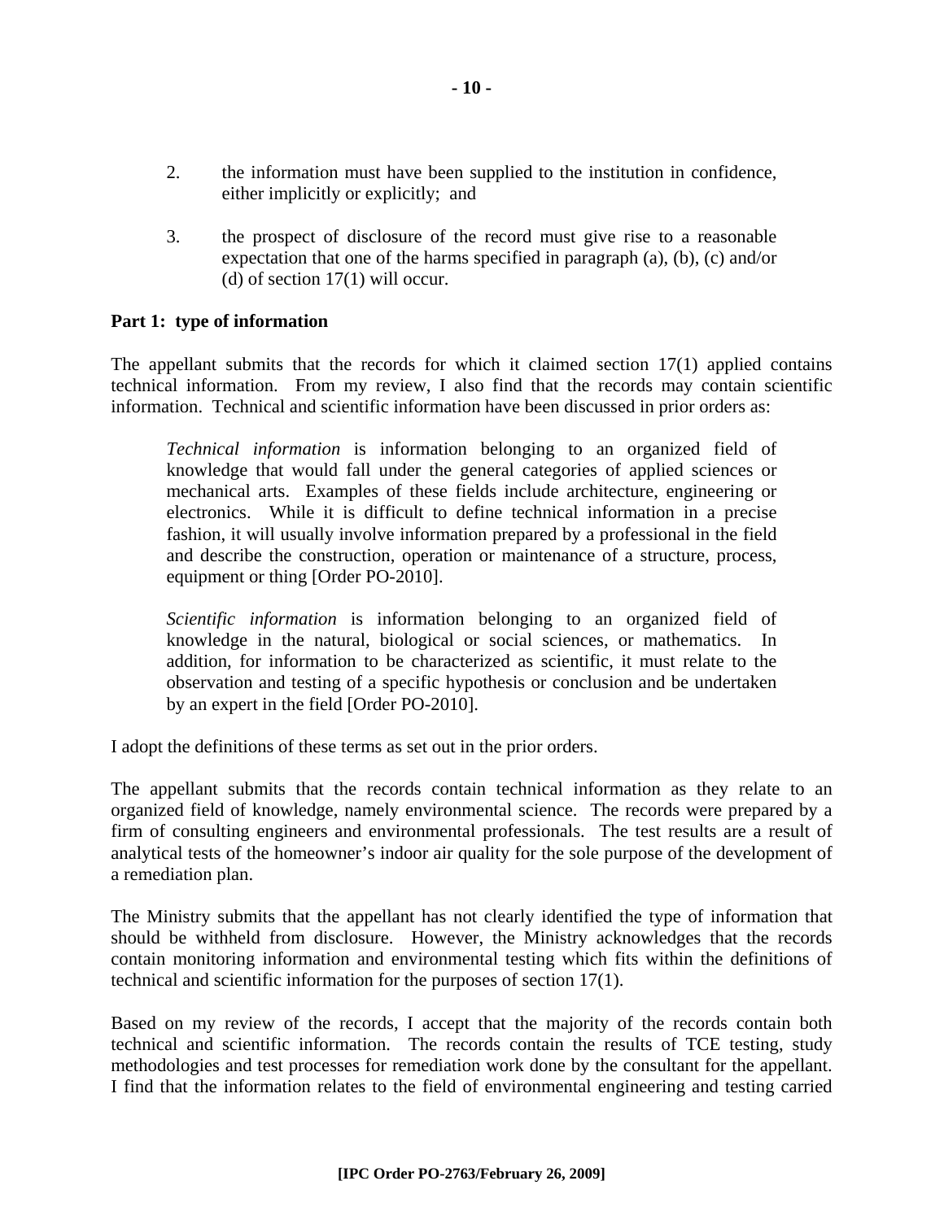- 2. the information must have been supplied to the institution in confidence, either implicitly or explicitly; and
- 3. the prospect of disclosure of the record must give rise to a reasonable expectation that one of the harms specified in paragraph (a), (b), (c) and/or (d) of section 17(1) will occur.

#### **Part 1: type of information**

The appellant submits that the records for which it claimed section 17(1) applied contains technical information. From my review, I also find that the records may contain scientific information. Technical and scientific information have been discussed in prior orders as:

*Technical information* is information belonging to an organized field of knowledge that would fall under the general categories of applied sciences or mechanical arts. Examples of these fields include architecture, engineering or electronics. While it is difficult to define technical information in a precise fashion, it will usually involve information prepared by a professional in the field and describe the construction, operation or maintenance of a structure, process, equipment or thing [Order PO-2010].

*Scientific information* is information belonging to an organized field of knowledge in the natural, biological or social sciences, or mathematics. In addition, for information to be characterized as scientific, it must relate to the observation and testing of a specific hypothesis or conclusion and be undertaken by an expert in the field [Order PO-2010].

I adopt the definitions of these terms as set out in the prior orders.

The appellant submits that the records contain technical information as they relate to an organized field of knowledge, namely environmental science. The records were prepared by a firm of consulting engineers and environmental professionals. The test results are a result of analytical tests of the homeowner's indoor air quality for the sole purpose of the development of a remediation plan.

The Ministry submits that the appellant has not clearly identified the type of information that should be withheld from disclosure. However, the Ministry acknowledges that the records contain monitoring information and environmental testing which fits within the definitions of technical and scientific information for the purposes of section 17(1).

Based on my review of the records, I accept that the majority of the records contain both technical and scientific information. The records contain the results of TCE testing, study methodologies and test processes for remediation work done by the consultant for the appellant. I find that the information relates to the field of environmental engineering and testing carried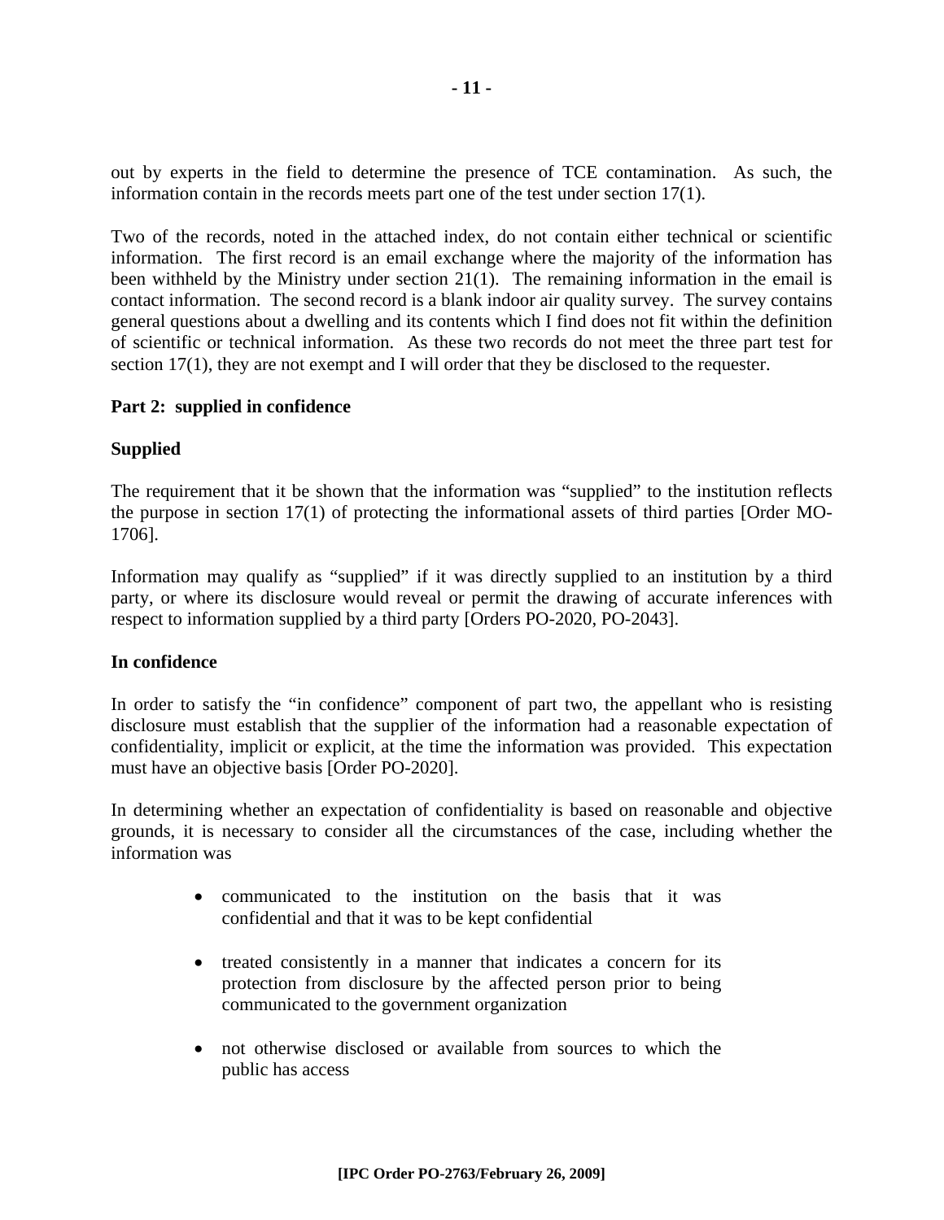out by experts in the field to determine the presence of TCE contamination. As such, the information contain in the records meets part one of the test under section 17(1).

Two of the records, noted in the attached index, do not contain either technical or scientific information. The first record is an email exchange where the majority of the information has been withheld by the Ministry under section 21(1). The remaining information in the email is contact information. The second record is a blank indoor air quality survey. The survey contains general questions about a dwelling and its contents which I find does not fit within the definition of scientific or technical information. As these two records do not meet the three part test for section 17(1), they are not exempt and I will order that they be disclosed to the requester.

#### **Part 2: supplied in confidence**

#### **Supplied**

The requirement that it be shown that the information was "supplied" to the institution reflects the purpose in section 17(1) of protecting the informational assets of third parties [Order MO-1706].

Information may qualify as "supplied" if it was directly supplied to an institution by a third party, or where its disclosure would reveal or permit the drawing of accurate inferences with respect to information supplied by a third party [Orders PO-2020, PO-2043].

#### **In confidence**

In order to satisfy the "in confidence" component of part two, the appellant who is resisting disclosure must establish that the supplier of the information had a reasonable expectation of confidentiality, implicit or explicit, at the time the information was provided. This expectation must have an objective basis [Order PO-2020].

In determining whether an expectation of confidentiality is based on reasonable and objective grounds, it is necessary to consider all the circumstances of the case, including whether the information was

- communicated to the institution on the basis that it was confidential and that it was to be kept confidential
- treated consistently in a manner that indicates a concern for its protection from disclosure by the affected person prior to being communicated to the government organization
- not otherwise disclosed or available from sources to which the public has access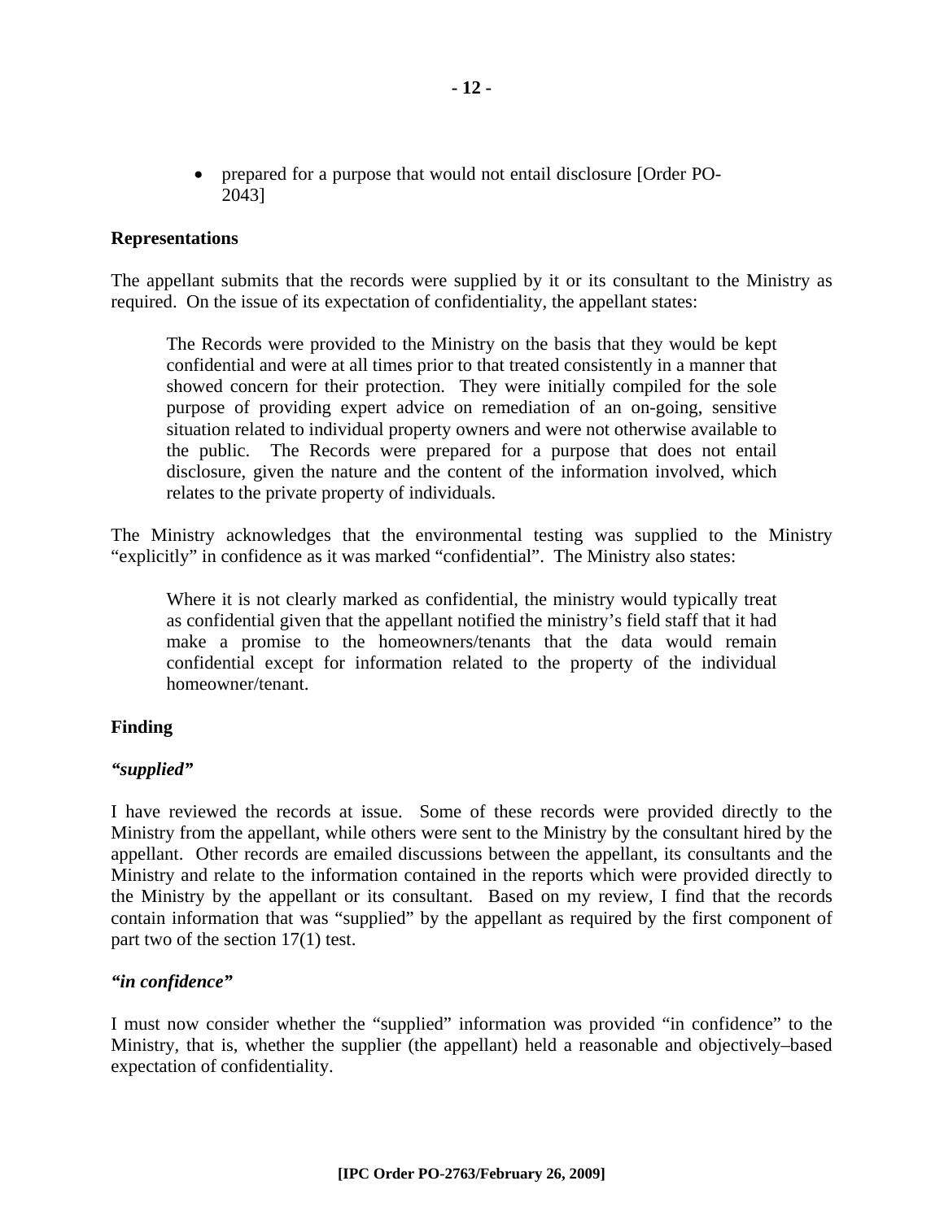• prepared for a purpose that would not entail disclosure [Order PO-2043]

#### **Representations**

The appellant submits that the records were supplied by it or its consultant to the Ministry as required. On the issue of its expectation of confidentiality, the appellant states:

The Records were provided to the Ministry on the basis that they would be kept confidential and were at all times prior to that treated consistently in a manner that showed concern for their protection. They were initially compiled for the sole purpose of providing expert advice on remediation of an on-going, sensitive situation related to individual property owners and were not otherwise available to the public. The Records were prepared for a purpose that does not entail disclosure, given the nature and the content of the information involved, which relates to the private property of individuals.

The Ministry acknowledges that the environmental testing was supplied to the Ministry "explicitly" in confidence as it was marked "confidential". The Ministry also states:

Where it is not clearly marked as confidential, the ministry would typically treat as confidential given that the appellant notified the ministry's field staff that it had make a promise to the homeowners/tenants that the data would remain confidential except for information related to the property of the individual homeowner/tenant.

#### **Finding**

#### *"supplied"*

I have reviewed the records at issue. Some of these records were provided directly to the Ministry from the appellant, while others were sent to the Ministry by the consultant hired by the appellant. Other records are emailed discussions between the appellant, its consultants and the Ministry and relate to the information contained in the reports which were provided directly to the Ministry by the appellant or its consultant. Based on my review, I find that the records contain information that was "supplied" by the appellant as required by the first component of part two of the section 17(1) test.

#### *"in confidence"*

I must now consider whether the "supplied" information was provided "in confidence" to the Ministry, that is, whether the supplier (the appellant) held a reasonable and objectively–based expectation of confidentiality.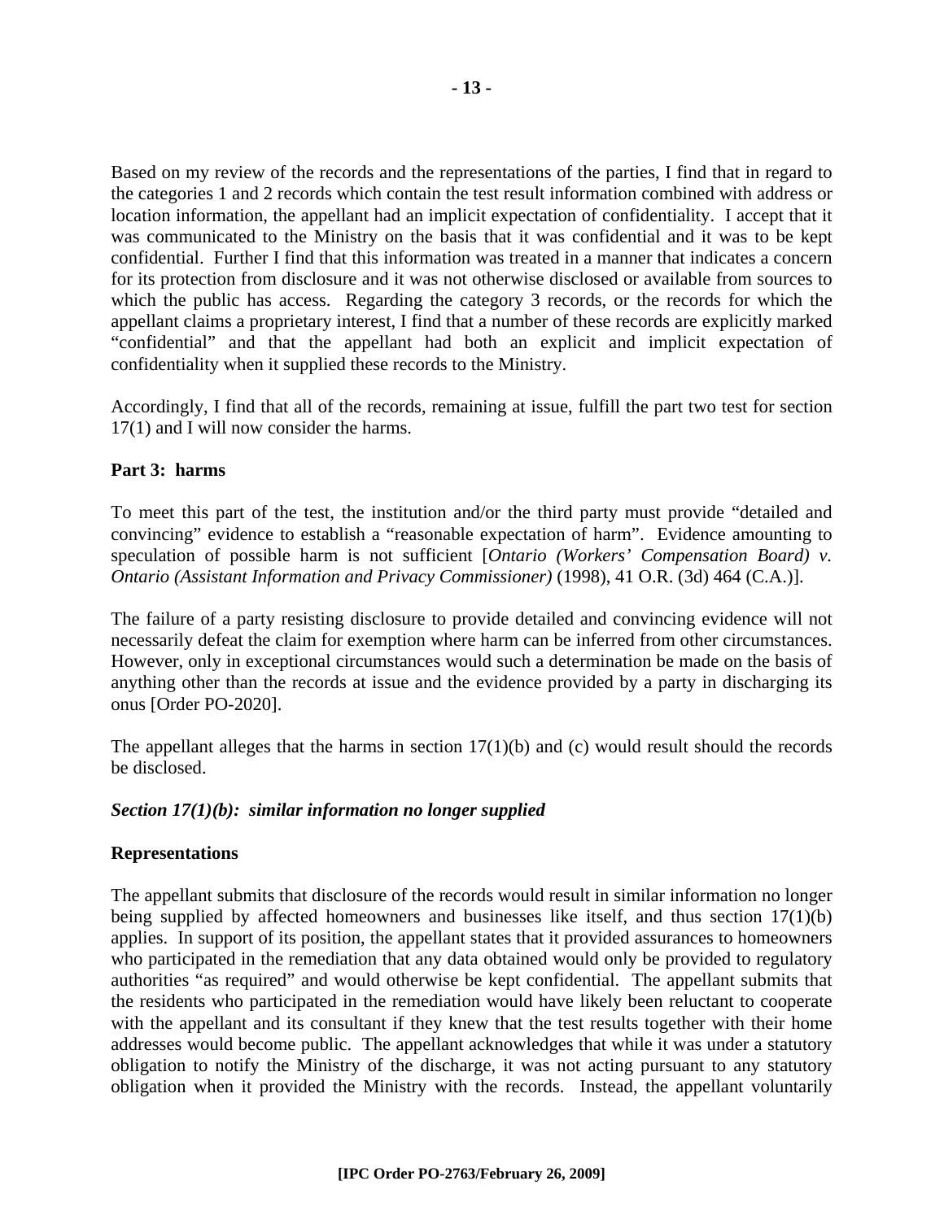Based on my review of the records and the representations of the parties, I find that in regard to the categories 1 and 2 records which contain the test result information combined with address or location information, the appellant had an implicit expectation of confidentiality. I accept that it was communicated to the Ministry on the basis that it was confidential and it was to be kept confidential. Further I find that this information was treated in a manner that indicates a concern for its protection from disclosure and it was not otherwise disclosed or available from sources to which the public has access. Regarding the category 3 records, or the records for which the appellant claims a proprietary interest, I find that a number of these records are explicitly marked "confidential" and that the appellant had both an explicit and implicit expectation of confidentiality when it supplied these records to the Ministry.

Accordingly, I find that all of the records, remaining at issue, fulfill the part two test for section 17(1) and I will now consider the harms.

#### **Part 3: harms**

To meet this part of the test, the institution and/or the third party must provide "detailed and convincing" evidence to establish a "reasonable expectation of harm". Evidence amounting to speculation of possible harm is not sufficient [*Ontario (Workers' Compensation Board) v. Ontario (Assistant Information and Privacy Commissioner)* (1998), 41 O.R. (3d) 464 (C.A.)].

The failure of a party resisting disclosure to provide detailed and convincing evidence will not necessarily defeat the claim for exemption where harm can be inferred from other circumstances. However, only in exceptional circumstances would such a determination be made on the basis of anything other than the records at issue and the evidence provided by a party in discharging its onus [Order PO-2020].

The appellant alleges that the harms in section  $17(1)(b)$  and (c) would result should the records be disclosed.

#### *Section 17(1)(b): similar information no longer supplied*

#### **Representations**

The appellant submits that disclosure of the records would result in similar information no longer being supplied by affected homeowners and businesses like itself, and thus section 17(1)(b) applies. In support of its position, the appellant states that it provided assurances to homeowners who participated in the remediation that any data obtained would only be provided to regulatory authorities "as required" and would otherwise be kept confidential. The appellant submits that the residents who participated in the remediation would have likely been reluctant to cooperate with the appellant and its consultant if they knew that the test results together with their home addresses would become public. The appellant acknowledges that while it was under a statutory obligation to notify the Ministry of the discharge, it was not acting pursuant to any statutory obligation when it provided the Ministry with the records. Instead, the appellant voluntarily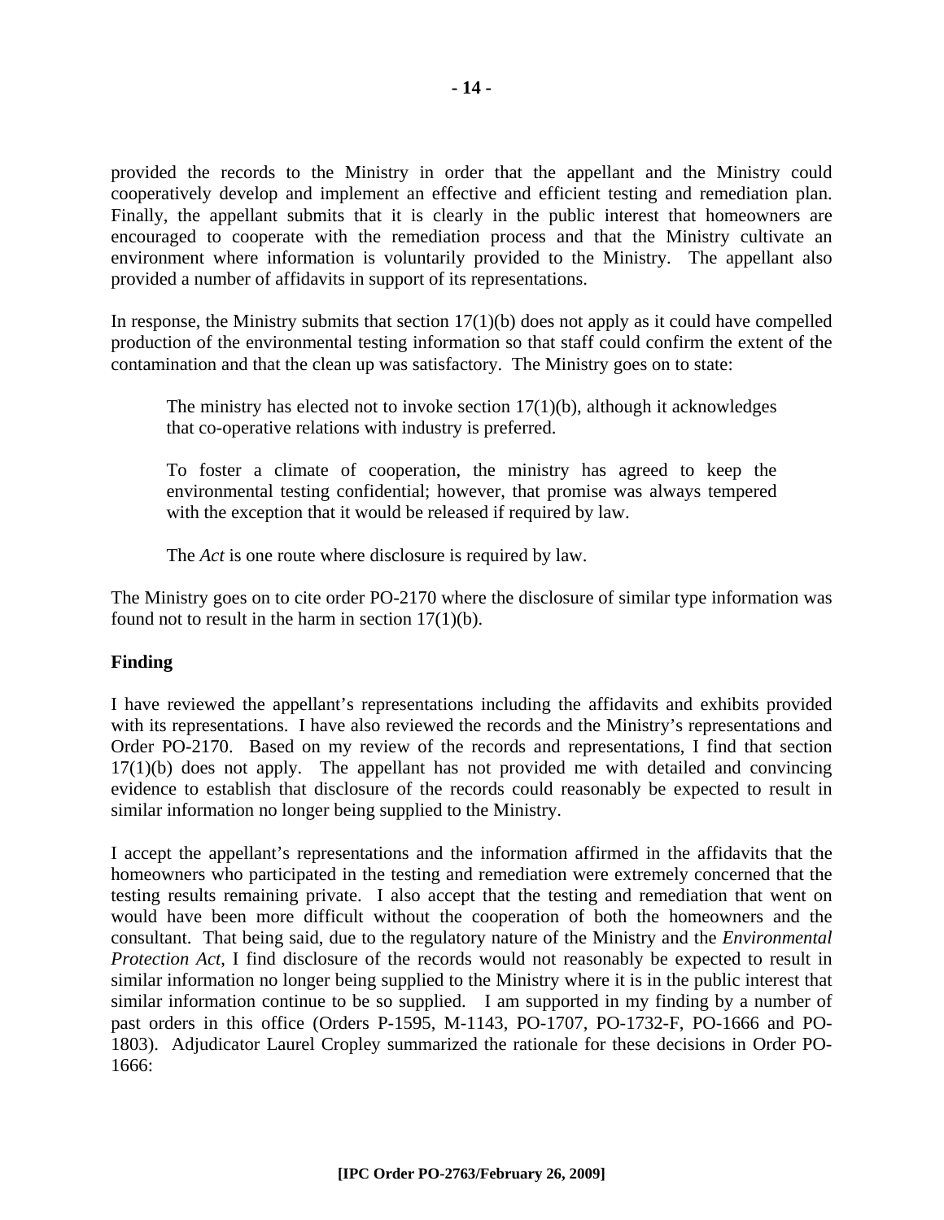provided the records to the Ministry in order that the appellant and the Ministry could cooperatively develop and implement an effective and efficient testing and remediation plan. Finally, the appellant submits that it is clearly in the public interest that homeowners are encouraged to cooperate with the remediation process and that the Ministry cultivate an environment where information is voluntarily provided to the Ministry. The appellant also provided a number of affidavits in support of its representations.

In response, the Ministry submits that section  $17(1)(b)$  does not apply as it could have compelled production of the environmental testing information so that staff could confirm the extent of the contamination and that the clean up was satisfactory. The Ministry goes on to state:

The ministry has elected not to invoke section  $17(1)(b)$ , although it acknowledges that co-operative relations with industry is preferred.

To foster a climate of cooperation, the ministry has agreed to keep the environmental testing confidential; however, that promise was always tempered with the exception that it would be released if required by law.

The *Act* is one route where disclosure is required by law.

The Ministry goes on to cite order PO-2170 where the disclosure of similar type information was found not to result in the harm in section  $17(1)(b)$ .

#### **Finding**

I have reviewed the appellant's representations including the affidavits and exhibits provided with its representations. I have also reviewed the records and the Ministry's representations and Order PO-2170. Based on my review of the records and representations, I find that section 17(1)(b) does not apply. The appellant has not provided me with detailed and convincing evidence to establish that disclosure of the records could reasonably be expected to result in similar information no longer being supplied to the Ministry.

I accept the appellant's representations and the information affirmed in the affidavits that the homeowners who participated in the testing and remediation were extremely concerned that the testing results remaining private. I also accept that the testing and remediation that went on would have been more difficult without the cooperation of both the homeowners and the consultant. That being said, due to the regulatory nature of the Ministry and the *Environmental Protection Act*, I find disclosure of the records would not reasonably be expected to result in similar information no longer being supplied to the Ministry where it is in the public interest that similar information continue to be so supplied. I am supported in my finding by a number of past orders in this office (Orders P-1595, M-1143, PO-1707, PO-1732-F, PO-1666 and PO-1803). Adjudicator Laurel Cropley summarized the rationale for these decisions in Order PO-1666: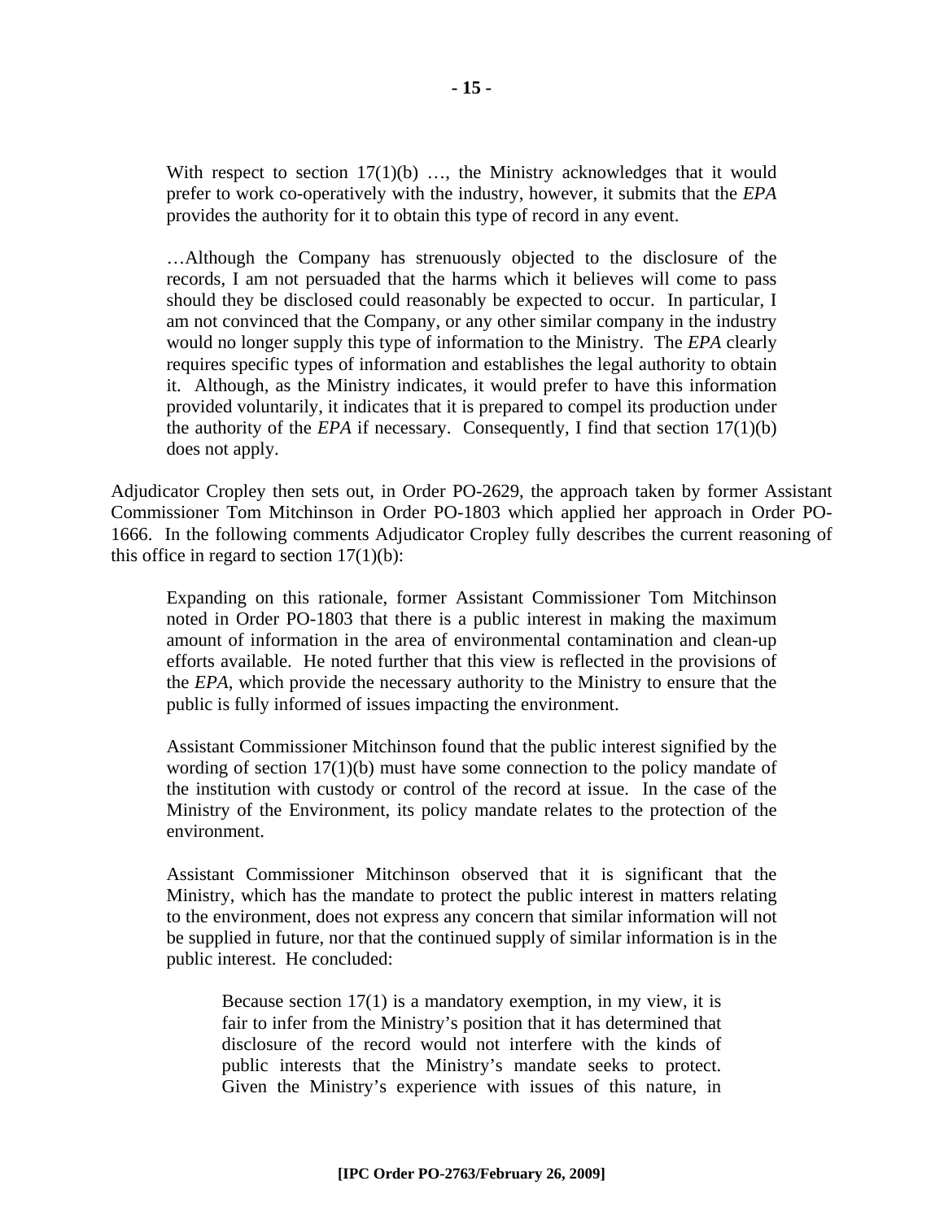With respect to section  $17(1)(b)$  ..., the Ministry acknowledges that it would prefer to work co-operatively with the industry, however, it submits that the *EPA* provides the authority for it to obtain this type of record in any event.

…Although the Company has strenuously objected to the disclosure of the records, I am not persuaded that the harms which it believes will come to pass should they be disclosed could reasonably be expected to occur. In particular, I am not convinced that the Company, or any other similar company in the industry would no longer supply this type of information to the Ministry. The *EPA* clearly requires specific types of information and establishes the legal authority to obtain it. Although, as the Ministry indicates, it would prefer to have this information provided voluntarily, it indicates that it is prepared to compel its production under the authority of the *EPA* if necessary. Consequently, I find that section 17(1)(b) does not apply.

Adjudicator Cropley then sets out, in Order PO-2629, the approach taken by former Assistant Commissioner Tom Mitchinson in Order PO-1803 which applied her approach in Order PO-1666. In the following comments Adjudicator Cropley fully describes the current reasoning of this office in regard to section  $17(1)(b)$ :

Expanding on this rationale, former Assistant Commissioner Tom Mitchinson noted in Order PO-1803 that there is a public interest in making the maximum amount of information in the area of environmental contamination and clean-up efforts available. He noted further that this view is reflected in the provisions of the *EPA*, which provide the necessary authority to the Ministry to ensure that the public is fully informed of issues impacting the environment.

Assistant Commissioner Mitchinson found that the public interest signified by the wording of section  $17(1)(b)$  must have some connection to the policy mandate of the institution with custody or control of the record at issue. In the case of the Ministry of the Environment, its policy mandate relates to the protection of the environment.

Assistant Commissioner Mitchinson observed that it is significant that the Ministry, which has the mandate to protect the public interest in matters relating to the environment, does not express any concern that similar information will not be supplied in future, nor that the continued supply of similar information is in the public interest. He concluded:

Because section 17(1) is a mandatory exemption, in my view, it is fair to infer from the Ministry's position that it has determined that disclosure of the record would not interfere with the kinds of public interests that the Ministry's mandate seeks to protect. Given the Ministry's experience with issues of this nature, in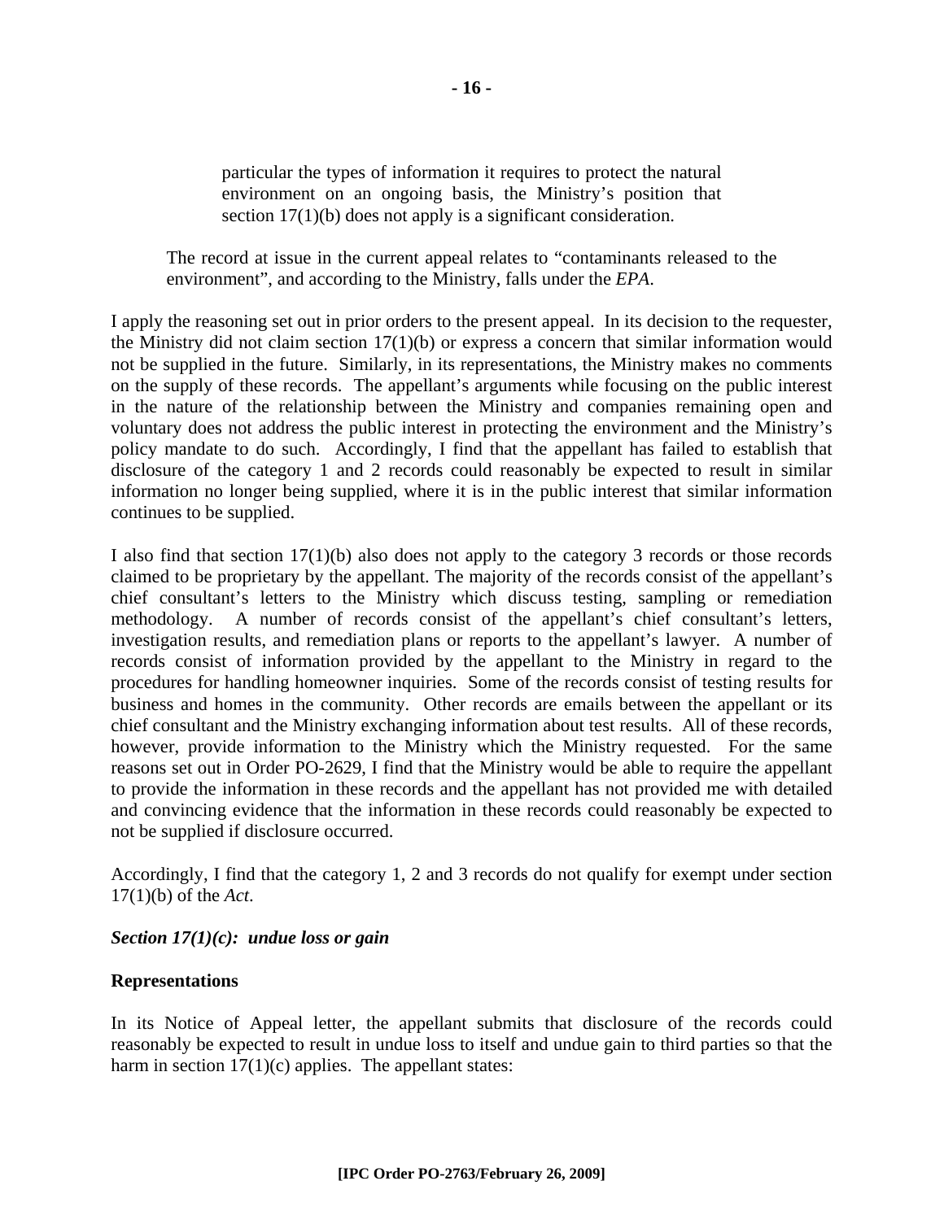particular the types of information it requires to protect the natural environment on an ongoing basis, the Ministry's position that section 17(1)(b) does not apply is a significant consideration.

The record at issue in the current appeal relates to "contaminants released to the environment", and according to the Ministry, falls under the *EPA*.

I apply the reasoning set out in prior orders to the present appeal. In its decision to the requester, the Ministry did not claim section 17(1)(b) or express a concern that similar information would not be supplied in the future. Similarly, in its representations, the Ministry makes no comments on the supply of these records. The appellant's arguments while focusing on the public interest in the nature of the relationship between the Ministry and companies remaining open and voluntary does not address the public interest in protecting the environment and the Ministry's policy mandate to do such. Accordingly, I find that the appellant has failed to establish that disclosure of the category 1 and 2 records could reasonably be expected to result in similar information no longer being supplied, where it is in the public interest that similar information continues to be supplied.

I also find that section 17(1)(b) also does not apply to the category 3 records or those records claimed to be proprietary by the appellant. The majority of the records consist of the appellant's chief consultant's letters to the Ministry which discuss testing, sampling or remediation methodology. A number of records consist of the appellant's chief consultant's letters, investigation results, and remediation plans or reports to the appellant's lawyer. A number of records consist of information provided by the appellant to the Ministry in regard to the procedures for handling homeowner inquiries. Some of the records consist of testing results for business and homes in the community. Other records are emails between the appellant or its chief consultant and the Ministry exchanging information about test results. All of these records, however, provide information to the Ministry which the Ministry requested. For the same reasons set out in Order PO-2629, I find that the Ministry would be able to require the appellant to provide the information in these records and the appellant has not provided me with detailed and convincing evidence that the information in these records could reasonably be expected to not be supplied if disclosure occurred.

Accordingly, I find that the category 1, 2 and 3 records do not qualify for exempt under section 17(1)(b) of the *Act*.

#### *Section 17(1)(c): undue loss or gain*

#### **Representations**

In its Notice of Appeal letter, the appellant submits that disclosure of the records could reasonably be expected to result in undue loss to itself and undue gain to third parties so that the harm in section  $17(1)(c)$  applies. The appellant states: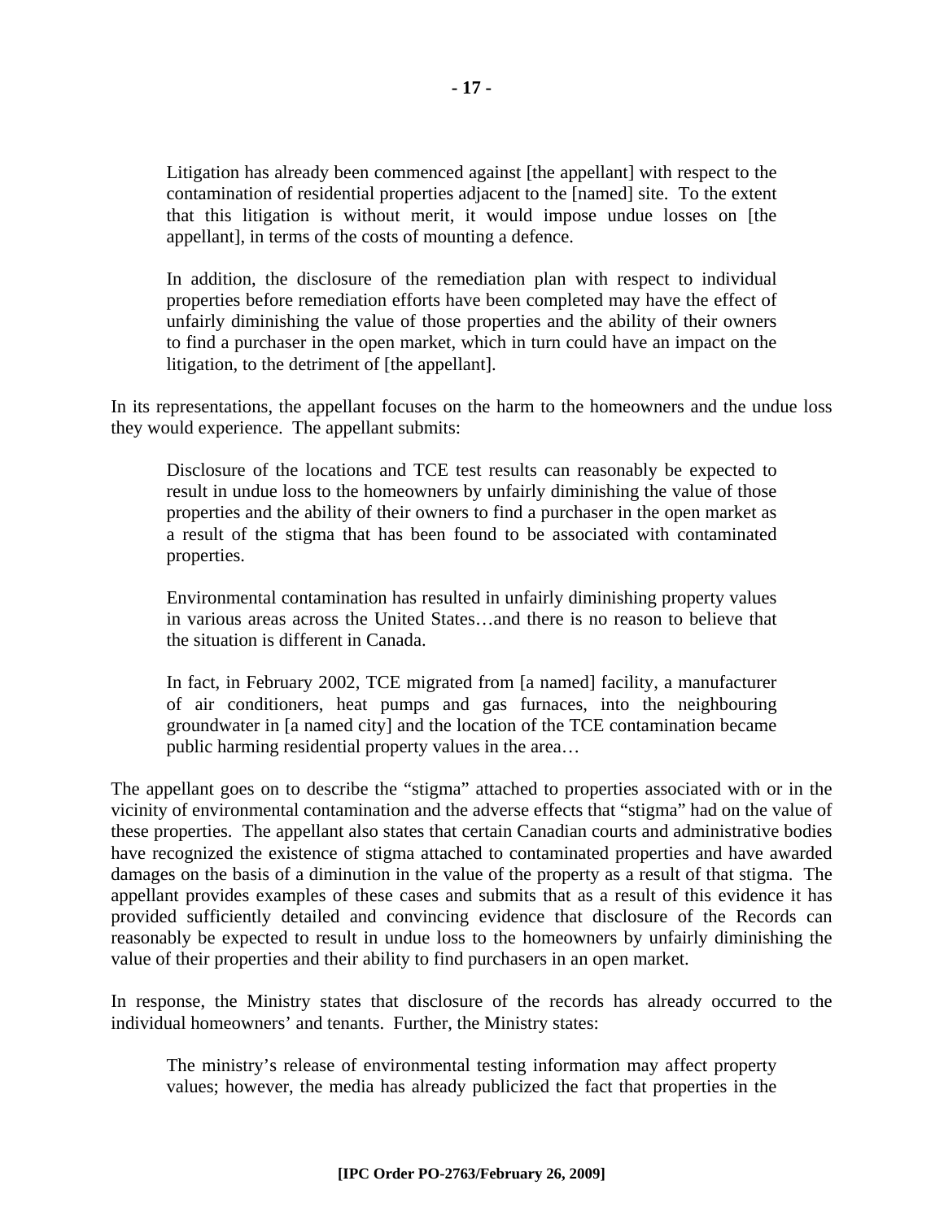Litigation has already been commenced against [the appellant] with respect to the contamination of residential properties adjacent to the [named] site. To the extent that this litigation is without merit, it would impose undue losses on [the appellant], in terms of the costs of mounting a defence.

In addition, the disclosure of the remediation plan with respect to individual properties before remediation efforts have been completed may have the effect of unfairly diminishing the value of those properties and the ability of their owners to find a purchaser in the open market, which in turn could have an impact on the litigation, to the detriment of [the appellant].

In its representations, the appellant focuses on the harm to the homeowners and the undue loss they would experience. The appellant submits:

Disclosure of the locations and TCE test results can reasonably be expected to result in undue loss to the homeowners by unfairly diminishing the value of those properties and the ability of their owners to find a purchaser in the open market as a result of the stigma that has been found to be associated with contaminated properties.

Environmental contamination has resulted in unfairly diminishing property values in various areas across the United States…and there is no reason to believe that the situation is different in Canada.

In fact, in February 2002, TCE migrated from [a named] facility, a manufacturer of air conditioners, heat pumps and gas furnaces, into the neighbouring groundwater in [a named city] and the location of the TCE contamination became public harming residential property values in the area…

The appellant goes on to describe the "stigma" attached to properties associated with or in the vicinity of environmental contamination and the adverse effects that "stigma" had on the value of these properties. The appellant also states that certain Canadian courts and administrative bodies have recognized the existence of stigma attached to contaminated properties and have awarded damages on the basis of a diminution in the value of the property as a result of that stigma. The appellant provides examples of these cases and submits that as a result of this evidence it has provided sufficiently detailed and convincing evidence that disclosure of the Records can reasonably be expected to result in undue loss to the homeowners by unfairly diminishing the value of their properties and their ability to find purchasers in an open market.

In response, the Ministry states that disclosure of the records has already occurred to the individual homeowners' and tenants. Further, the Ministry states:

The ministry's release of environmental testing information may affect property values; however, the media has already publicized the fact that properties in the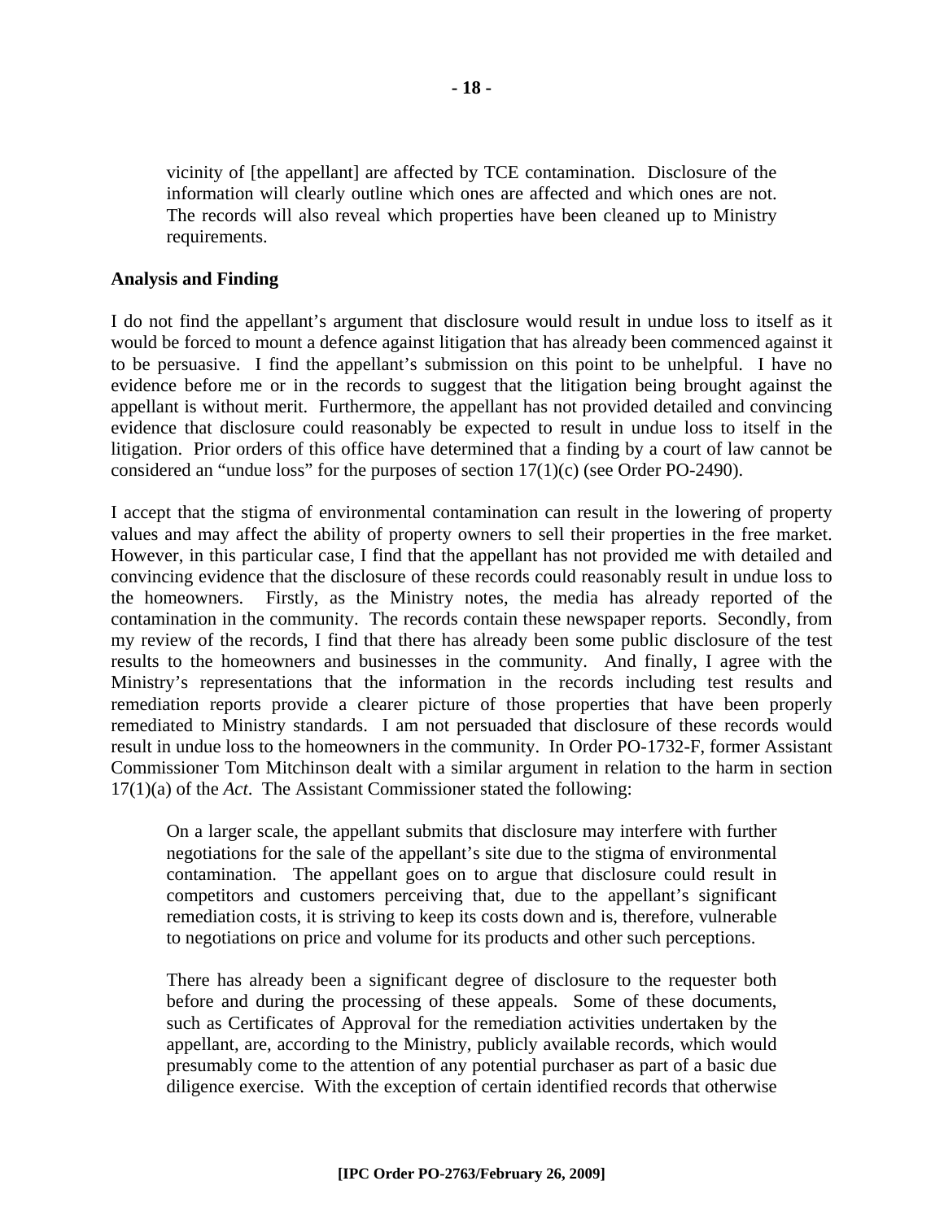vicinity of [the appellant] are affected by TCE contamination. Disclosure of the information will clearly outline which ones are affected and which ones are not. The records will also reveal which properties have been cleaned up to Ministry requirements.

#### **Analysis and Finding**

I do not find the appellant's argument that disclosure would result in undue loss to itself as it would be forced to mount a defence against litigation that has already been commenced against it to be persuasive. I find the appellant's submission on this point to be unhelpful. I have no evidence before me or in the records to suggest that the litigation being brought against the appellant is without merit. Furthermore, the appellant has not provided detailed and convincing evidence that disclosure could reasonably be expected to result in undue loss to itself in the litigation. Prior orders of this office have determined that a finding by a court of law cannot be considered an "undue loss" for the purposes of section 17(1)(c) (see Order PO-2490).

I accept that the stigma of environmental contamination can result in the lowering of property values and may affect the ability of property owners to sell their properties in the free market. However, in this particular case, I find that the appellant has not provided me with detailed and convincing evidence that the disclosure of these records could reasonably result in undue loss to the homeowners. Firstly, as the Ministry notes, the media has already reported of the contamination in the community. The records contain these newspaper reports. Secondly, from my review of the records, I find that there has already been some public disclosure of the test results to the homeowners and businesses in the community. And finally, I agree with the Ministry's representations that the information in the records including test results and remediation reports provide a clearer picture of those properties that have been properly remediated to Ministry standards. I am not persuaded that disclosure of these records would result in undue loss to the homeowners in the community. In Order PO-1732-F, former Assistant Commissioner Tom Mitchinson dealt with a similar argument in relation to the harm in section 17(1)(a) of the *Act*. The Assistant Commissioner stated the following:

On a larger scale, the appellant submits that disclosure may interfere with further negotiations for the sale of the appellant's site due to the stigma of environmental contamination. The appellant goes on to argue that disclosure could result in competitors and customers perceiving that, due to the appellant's significant remediation costs, it is striving to keep its costs down and is, therefore, vulnerable to negotiations on price and volume for its products and other such perceptions.

There has already been a significant degree of disclosure to the requester both before and during the processing of these appeals. Some of these documents, such as Certificates of Approval for the remediation activities undertaken by the appellant, are, according to the Ministry, publicly available records, which would presumably come to the attention of any potential purchaser as part of a basic due diligence exercise. With the exception of certain identified records that otherwise